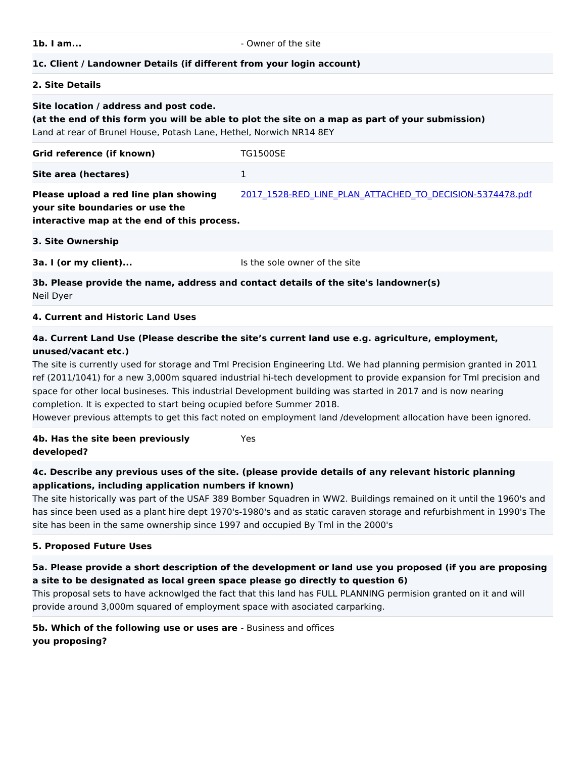**1b. I am... 1b.** I am...

#### **1c. Client / Landowner Details (if different from your login account)**

#### **2. Site Details**

#### **Site location / address and post code.**

**(at the end of this form you will be able to plot the site on a map as part of your submission)** Land at rear of Brunel House, Potash Lane, Hethel, Norwich NR14 8EY

| Grid reference (if known) | <b>TG1500SE</b> |
|---------------------------|-----------------|
| Site area (hectares)      | -               |

[2017\\_1528-RED\\_LINE\\_PLAN\\_ATTACHED\\_TO\\_DECISION-5374478.pdf](https://gnlp.jdi-consult.net/forms/download.php?q=Zm9ybV9pZD00MTMyMyZpZD0xMTgmZWw9ZWxlbWVudF84OCZoYXNoPWUxNzIwZjQyZjc5MGFkZjViNzFlYzI0MDc3YTM3NTQ1)

# **Please upload a red line plan showing your site boundaries or use the**

**interactive map at the end of this process.**

|  | 3. Site Ownership |
|--|-------------------|
|  |                   |

**3a. I (or my client)...** The sole owner of the site

#### **3b. Please provide the name, address and contact details of the site's landowner(s)**  Neil Dyer

#### **4. Current and Historic Land Uses**

#### **4a. Current Land Use (Please describe the site's current land use e.g. agriculture, employment, unused/vacant etc.)**

The site is currently used for storage and Tml Precision Engineering Ltd. We had planning permision granted in 2011 ref (2011/1041) for a new 3,000m squared industrial hi-tech development to provide expansion for Tml precision and space for other local busineses. This industrial Development building was started in 2017 and is now nearing completion. It is expected to start being ocupied before Summer 2018.

However previous attempts to get this fact noted on employment land /development allocation have been ignored.

#### **4b. Has the site been previously developed?** Yes

#### **4c. Describe any previous uses of the site. (please provide details of any relevant historic planning applications, including application numbers if known)**

The site historically was part of the USAF 389 Bomber Squadren in WW2. Buildings remained on it until the 1960's and has since been used as a plant hire dept 1970's-1980's and as static caraven storage and refurbishment in 1990's The site has been in the same ownership since 1997 and occupied By Tml in the 2000's

#### **5. Proposed Future Uses**

## **5a. Please provide a short description of the development or land use you proposed (if you are proposing a site to be designated as local green space please go directly to question 6)**

This proposal sets to have acknowlged the fact that this land has FULL PLANNING permision granted on it and will provide around 3,000m squared of employment space with asociated carparking.

**5b. Which of the following use or uses are** - Business and offices **you proposing?**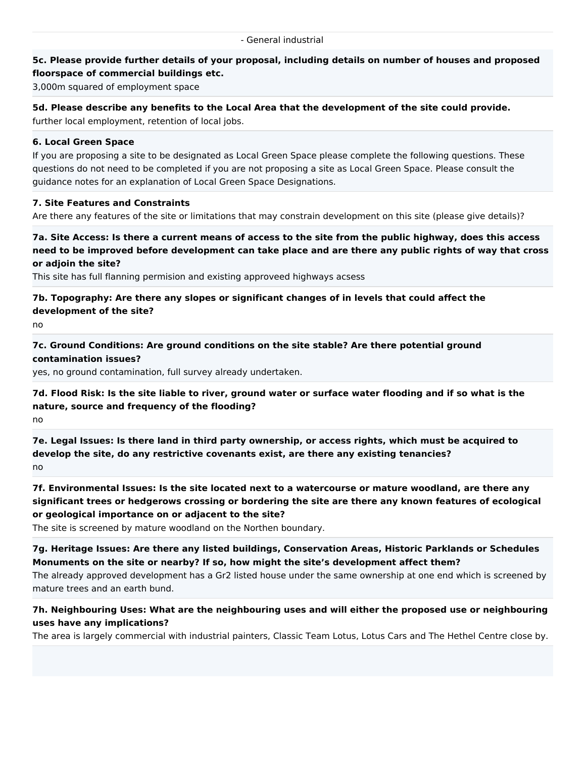#### **5c. Please provide further details of your proposal, including details on number of houses and proposed floorspace of commercial buildings etc.**

3,000m squared of employment space

**5d. Please describe any benefits to the Local Area that the development of the site could provide.** further local employment, retention of local jobs.

#### **6. Local Green Space**

If you are proposing a site to be designated as Local Green Space please complete the following questions. These questions do not need to be completed if you are not proposing a site as Local Green Space. Please consult the guidance notes for an explanation of Local Green Space Designations.

#### **7. Site Features and Constraints**

Are there any features of the site or limitations that may constrain development on this site (please give details)?

**7a. Site Access: Is there a current means of access to the site from the public highway, does this access need to be improved before development can take place and are there any public rights of way that cross or adjoin the site?**

This site has full flanning permision and existing approveed highways acsess

**7b. Topography: Are there any slopes or significant changes of in levels that could affect the development of the site?**

no

**7c. Ground Conditions: Are ground conditions on the site stable? Are there potential ground contamination issues?**

yes, no ground contamination, full survey already undertaken.

**7d. Flood Risk: Is the site liable to river, ground water or surface water flooding and if so what is the nature, source and frequency of the flooding?**

no

**7e. Legal Issues: Is there land in third party ownership, or access rights, which must be acquired to develop the site, do any restrictive covenants exist, are there any existing tenancies?** no

**7f. Environmental Issues: Is the site located next to a watercourse or mature woodland, are there any significant trees or hedgerows crossing or bordering the site are there any known features of ecological or geological importance on or adjacent to the site?**

The site is screened by mature woodland on the Northen boundary.

**7g. Heritage Issues: Are there any listed buildings, Conservation Areas, Historic Parklands or Schedules Monuments on the site or nearby? If so, how might the site's development affect them?** The already approved development has a Gr2 listed house under the same ownership at one end which is screened by mature trees and an earth bund.

## **7h. Neighbouring Uses: What are the neighbouring uses and will either the proposed use or neighbouring uses have any implications?**

The area is largely commercial with industrial painters, Classic Team Lotus, Lotus Cars and The Hethel Centre close by.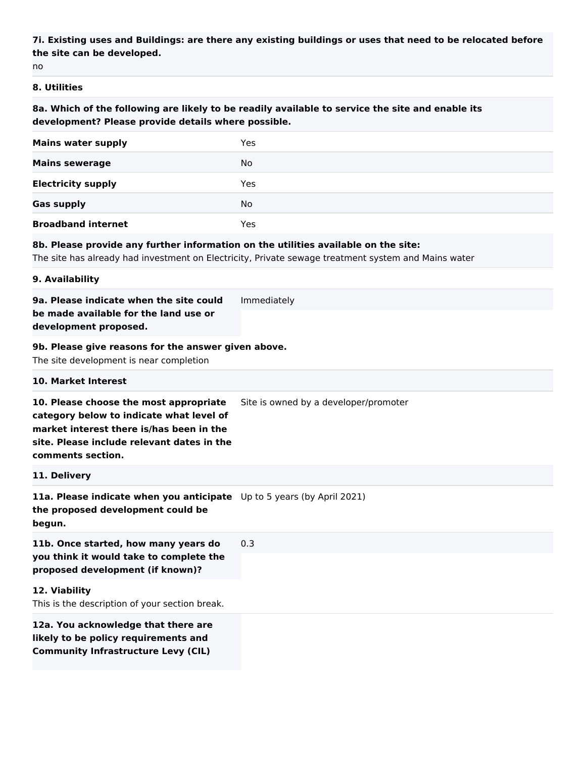## **7i. Existing uses and Buildings: are there any existing buildings or uses that need to be relocated before the site can be developed.**

no

#### **8. Utilities**

**8a. Which of the following are likely to be readily available to service the site and enable its development? Please provide details where possible.**

| <b>Mains water supply</b> | Yes |
|---------------------------|-----|
| <b>Mains sewerage</b>     | No  |
| <b>Electricity supply</b> | Yes |
| <b>Gas supply</b>         | No  |
| <b>Broadband internet</b> | Yes |

#### **8b. Please provide any further information on the utilities available on the site:**

The site has already had investment on Electricity, Private sewage treatment system and Mains water

#### **9. Availability**

| 9a. Please indicate when the site could | Immediately |
|-----------------------------------------|-------------|
| be made available for the land use or   |             |
| development proposed.                   |             |

#### **9b. Please give reasons for the answer given above.**

The site development is near completion

#### **10. Market Interest**

**10. Please choose the most appropriate**  Site is owned by a developer/promoter

**category below to indicate what level of market interest there is/has been in the site. Please include relevant dates in the** 

**comments section.**

#### **11. Delivery**

**11a. Please indicate when you anticipate**  Up to 5 years (by April 2021) **the proposed development could be begun.**

**11b. Once started, how many years do you think it would take to complete the proposed development (if known)?** 0.3

**12. Viability** This is the description of your section break.

**12a. You acknowledge that there are likely to be policy requirements and Community Infrastructure Levy (CIL)**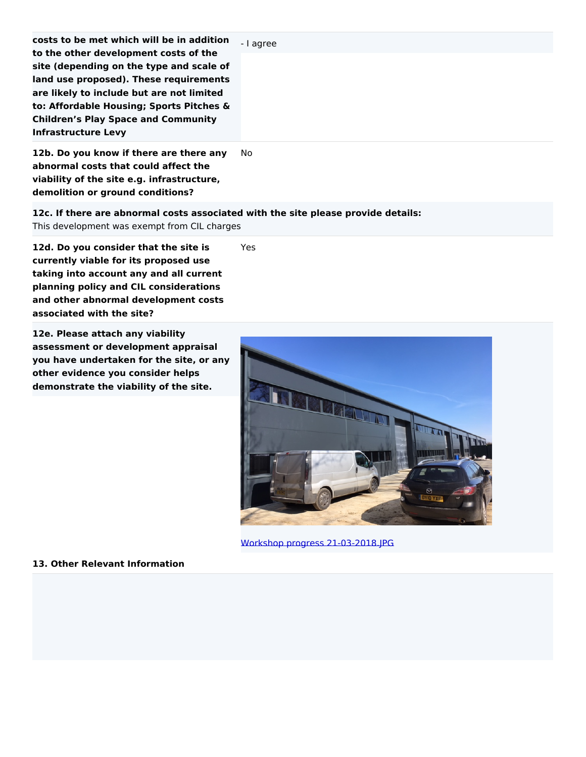| costs to be met which will be in addition                                                                                                                                                                                                                          | - I agree |
|--------------------------------------------------------------------------------------------------------------------------------------------------------------------------------------------------------------------------------------------------------------------|-----------|
| to the other development costs of the<br>site (depending on the type and scale of<br>land use proposed). These requirements<br>are likely to include but are not limited<br>to: Affordable Housing; Sports Pitches &<br><b>Children's Play Space and Community</b> |           |
| <b>Infrastructure Levy</b><br>12b. Do you know if there are there any<br>abnormal costs that could affect the<br>viability of the site e.g. infrastructure,                                                                                                        | No.       |

**demolition or ground conditions?**

**12c. If there are abnormal costs associated with the site please provide details:**

Yes

This development was exempt from CIL charges

**12d. Do you consider that the site is currently viable for its proposed use taking into account any and all current planning policy and CIL considerations and other abnormal development costs associated with the site?**

**12e. Please attach any viability assessment or development appraisal you have undertaken for the site, or any other evidence you consider helps demonstrate the viability of the site.**



[Workshop progress 21-03-2018.JPG](https://gnlp.jdi-consult.net/forms/download.php?q=Zm9ybV9pZD00MTMyMyZpZD0xMTgmZWw9ZWxlbWVudF84MCZoYXNoPWI1NmNiOWQwM2ZiMGQ1ZGYzZWQ0NTAwZjRmYTkzYzM5)

**13. Other Relevant Information**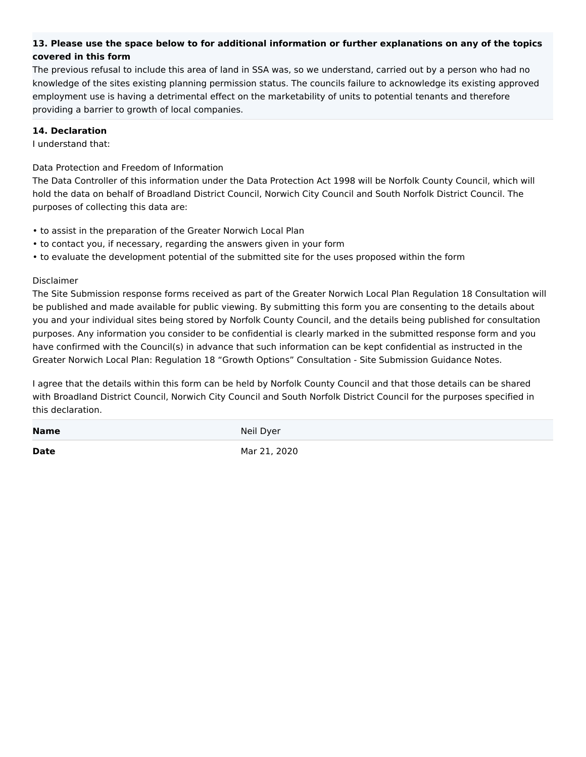## **13. Please use the space below to for additional information or further explanations on any of the topics covered in this form**

The previous refusal to include this area of land in SSA was, so we understand, carried out by a person who had no knowledge of the sites existing planning permission status. The councils failure to acknowledge its existing approved employment use is having a detrimental effect on the marketability of units to potential tenants and therefore providing a barrier to growth of local companies.

#### **14. Declaration**

I understand that:

Data Protection and Freedom of Information

The Data Controller of this information under the Data Protection Act 1998 will be Norfolk County Council, which will hold the data on behalf of Broadland District Council, Norwich City Council and South Norfolk District Council. The purposes of collecting this data are:

- to assist in the preparation of the Greater Norwich Local Plan
- to contact you, if necessary, regarding the answers given in your form
- to evaluate the development potential of the submitted site for the uses proposed within the form

#### Disclaimer

The Site Submission response forms received as part of the Greater Norwich Local Plan Regulation 18 Consultation will be published and made available for public viewing. By submitting this form you are consenting to the details about you and your individual sites being stored by Norfolk County Council, and the details being published for consultation purposes. Any information you consider to be confidential is clearly marked in the submitted response form and you have confirmed with the Council(s) in advance that such information can be kept confidential as instructed in the Greater Norwich Local Plan: Regulation 18 "Growth Options" Consultation - Site Submission Guidance Notes.

I agree that the details within this form can be held by Norfolk County Council and that those details can be shared with Broadland District Council, Norwich City Council and South Norfolk District Council for the purposes specified in this declaration.

**Name** Neil Dyer

**Date** Mar 21, 2020